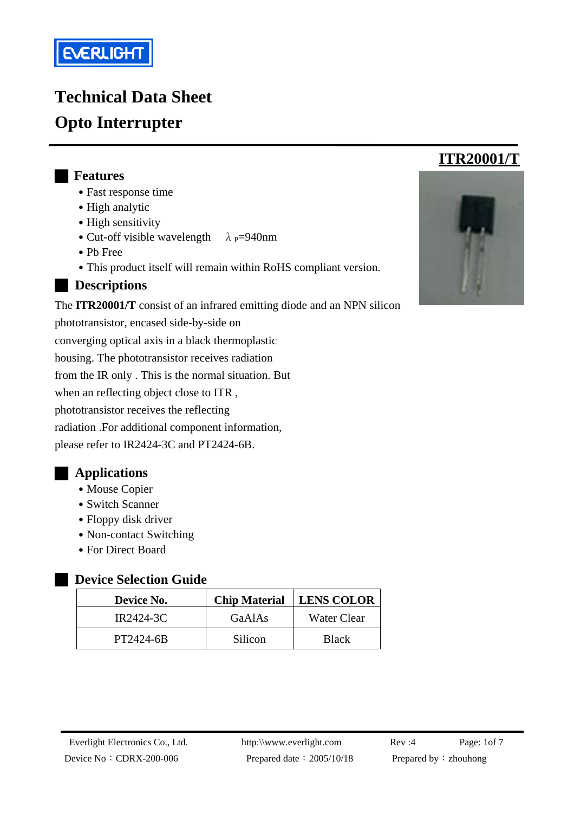

# **Technical Data Sheet Opto Interrupter**

#### █ **Features**

- Fast response time
- High analytic
- High sensitivity
- Cut-off visible wavelength  $\lambda$  <sub>P</sub>=940nm
- ․Pb Free
- This product itself will remain within RoHS compliant version.
- █ **Descriptions**

The **ITR20001/T** consist of an infrared emitting diode and an NPN silicon

phototransistor, encased side-by-side on converging optical axis in a black thermoplastic housing. The phototransistor receives radiation from the IR only . This is the normal situation. But when an reflecting object close to ITR , phototransistor receives the reflecting radiation .For additional component information, please refer to IR2424-3C and PT2424-6B.

### █ **Applications**

- Mouse Copier
- Switch Scanner
- Floppy disk driver
- Non-contact Switching
- ․For Direct Board

#### **Pevice Selection Guide**

| Device No. | <b>Chip Material</b> | <b>LENS COLOR</b> |
|------------|----------------------|-------------------|
| IR2424-3C  | GaAlAs               | Water Clear       |
| PT2424-6B  | Silicon              | <b>Black</b>      |



 **ITR20001/T**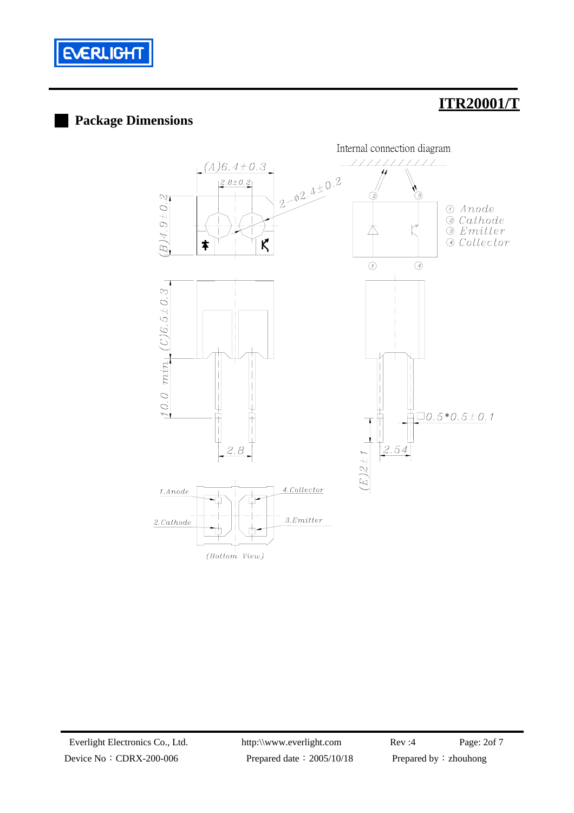

### **Package Dimensions**

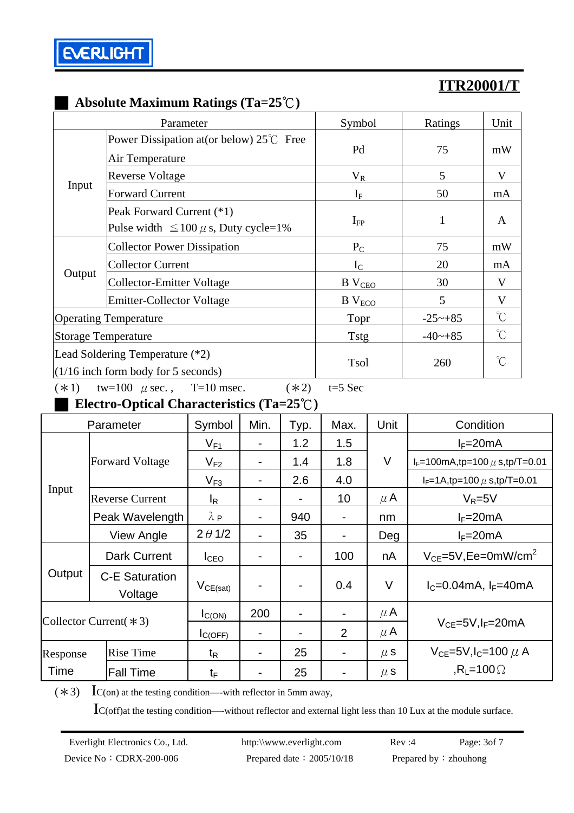

### █ **Absolute Maximum Ratings (Ta=25**℃**)**

|        | Parameter                                                                | Symbol                    | Ratings      | Unit                 |
|--------|--------------------------------------------------------------------------|---------------------------|--------------|----------------------|
| Input  | Power Dissipation at (or below) $25^{\circ}$ Free<br>Air Temperature     | Pd                        | 75           | mW                   |
|        | <b>Reverse Voltage</b>                                                   | $V_R$                     | 5            | V                    |
|        | <b>Forward Current</b>                                                   | $I_F$                     | 50           | mA                   |
|        | Peak Forward Current (*1)<br>Pulse width $\leq 100 \mu$ s, Duty cycle=1% | $I_{FP}$                  | $\mathbf{1}$ | A                    |
| Output | <b>Collector Power Dissipation</b>                                       | $P_{C}$                   | 75           | mW                   |
|        | <b>Collector Current</b>                                                 | $I_{\rm C}$               | 20           | mA                   |
|        | <b>Collector-Emitter Voltage</b>                                         | $B$ $VCEO$                | 30           | V                    |
|        | <b>Emitter-Collector Voltage</b>                                         | $B$ $V_{ECO}$             | 5            | V                    |
|        | <b>Operating Temperature</b>                                             | Topr                      | $-25 - +85$  | $\int_{0}^{\infty}$  |
|        | <b>Storage Temperature</b>                                               | $-40$ ~+85<br><b>Tstg</b> |              | $\mathrm{C}^{\circ}$ |
|        | Lead Soldering Temperature (*2)<br>$(1/16$ inch form body for 5 seconds) | <b>Tsol</b><br>260        |              | $\gamma$             |

(\*1) tw=100  $\mu$  sec., T=10 msec. (\*2) t=5 Sec

█ **Electro-Optical Characteristics (Ta=25**℃**)** 

| Parameter                |                                  | Symbol            | Min. | Typ. | Max. | Unit    | Condition                                                                |  |
|--------------------------|----------------------------------|-------------------|------|------|------|---------|--------------------------------------------------------------------------|--|
| Input                    | <b>Forward Voltage</b>           | $V_{F1}$          |      | 1.2  | 1.5  |         | $I_F=20mA$                                                               |  |
|                          |                                  | $V_{F2}$          |      | 1.4  | 1.8  | $\vee$  | $I_F = 100 \text{mA}, \text{tp} = 100 \mu \text{ s}, \text{tp/T} = 0.01$ |  |
|                          |                                  | $V_{F3}$          |      | 2.6  | 4.0  |         | $I_F = 1A$ , tp=100 $\mu$ s, tp/T=0.01                                   |  |
|                          | <b>Reverse Current</b>           | $I_R$             |      |      | 10   | $\mu$ A | $V_R = 5V$                                                               |  |
|                          | Peak Wavelength                  | $\lambda_{\rm P}$ |      | 940  | -    | nm      | $I_F = 20mA$                                                             |  |
|                          | View Angle                       | $2 \theta 1/2$    |      | 35   |      | Deg     | $I_F = 20mA$                                                             |  |
| Output                   | <b>Dark Current</b>              | I <sub>CEO</sub>  |      |      | 100  | nA      | $V_{CF}$ =5V, Ee=0mW/cm <sup>2</sup>                                     |  |
|                          | <b>C-E Saturation</b><br>Voltage | $V_{CE(sat)}$     |      |      | 0.4  | V       | $I_{C} = 0.04 \text{mA}$ , $I_{F} = 40 \text{mA}$                        |  |
| Collector Current $(*3)$ |                                  | $I_{C(ON)}$       | 200  |      | -    | $\mu$ A |                                                                          |  |
|                          |                                  | $I_{C(OFF)}$      |      |      | 2    | $\mu$ A | $V_{CF} = 5V I_F = 20mA$                                                 |  |
| Response                 | <b>Rise Time</b>                 | $t_{\mathsf{R}}$  |      | 25   | -    | $\mu$ S | $V_{CE}$ =5V,l <sub>C</sub> =100 $\mu$ A                                 |  |
| Time                     | <b>Fall Time</b>                 | $t_{\text{F}}$    |      | 25   |      | $\mu$ S | $R_1 = 100 \Omega$                                                       |  |

 $(*3)$  IC(on) at the testing condition—-with reflector in 5mm away,

IC(off)at the testing condition—-without reflector and external light less than 10 Lux at the module surface.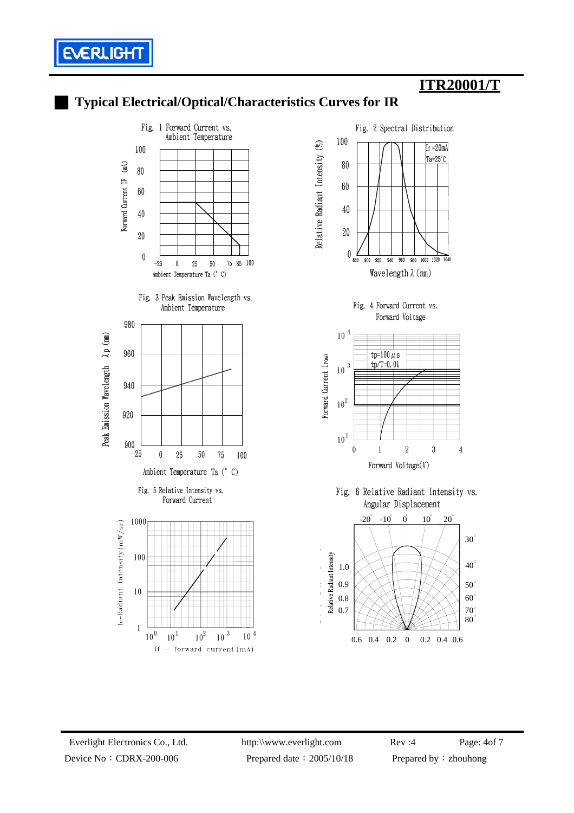





█ **Typical Electrical/Optical/Characteristics Curves for IR**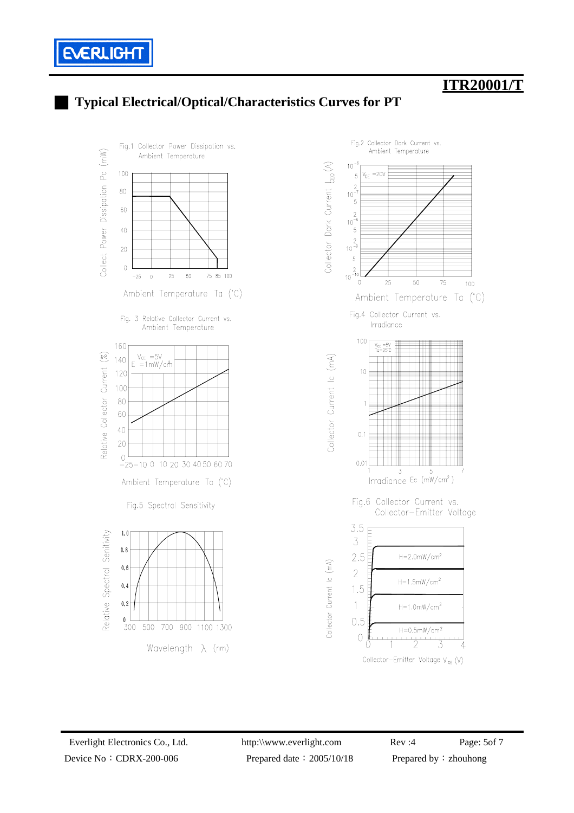

### █ **Typical Electrical/Optical/Characteristics Curves for PT**



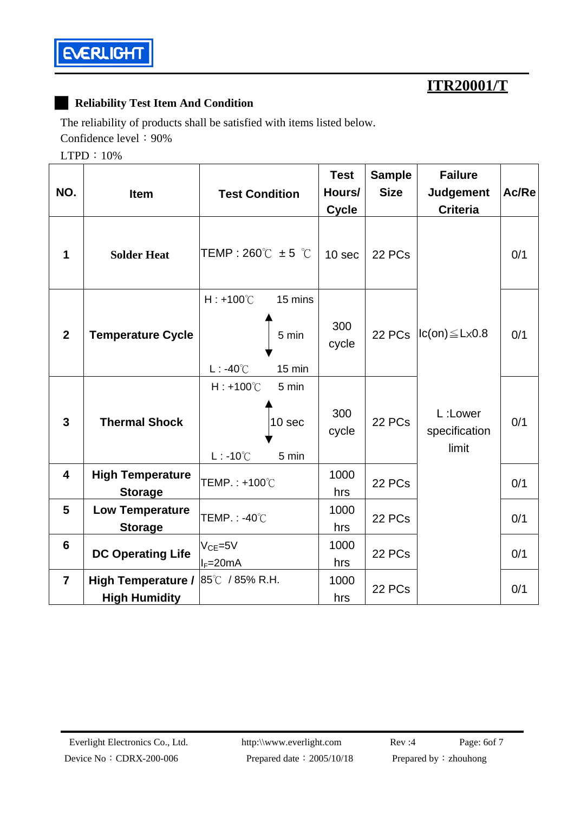

#### █ **Reliability Test Item And Condition**

The reliability of products shall be satisfied with items listed below.

Confidence level: 90%

LTPD:10%

| NO.            | <b>Item</b>                                       | <b>Test Condition</b>                                                   | <b>Test</b><br>Hours/<br><b>Cycle</b> | <b>Sample</b><br><b>Size</b> | <b>Failure</b><br><b>Judgement</b><br><b>Criteria</b> | Ac/Re |
|----------------|---------------------------------------------------|-------------------------------------------------------------------------|---------------------------------------|------------------------------|-------------------------------------------------------|-------|
| 1              | <b>Solder Heat</b>                                | TEMP: 260 $\degree$ C ± 5 $\degree$ C                                   | 10 sec                                | 22 PCs                       |                                                       | 0/1   |
| $\overline{2}$ | <b>Temperature Cycle</b>                          | $H: +100^{\circ}$ C<br>15 mins<br>5 min<br>$L: -40^{\circ}$ C<br>15 min | 300<br>cycle                          |                              | 22 PCs $ lc(on) \leq L \times 0.8$                    | 0/1   |
| $\mathbf{3}$   | <b>Thermal Shock</b>                              | $H: +100^{\circ}$ C<br>5 min<br>10 sec<br>$L: -10^{\circ}C$<br>5 min    | 300<br>cycle                          | 22 PCs                       | L:Lower<br>specification<br>limit                     | 0/1   |
| 4              | <b>High Temperature</b><br><b>Storage</b>         | TEMP.: +100°C                                                           | 1000<br>hrs                           | 22 PCs                       |                                                       | 0/1   |
| 5              | <b>Low Temperature</b><br><b>Storage</b>          | TEMP.: -40℃                                                             | 1000<br>hrs                           | 22 PCs                       |                                                       | 0/1   |
| 6              | <b>DC Operating Life</b>                          | $VCE=5V$<br>$I_F = 20mA$                                                | 1000<br>hrs                           | 22 PCs                       |                                                       | 0/1   |
| $\overline{7}$ | <b>High Temperature /</b><br><b>High Humidity</b> | 85℃ / 85% R.H.                                                          | 1000<br>hrs                           | 22 PCs                       |                                                       | 0/1   |